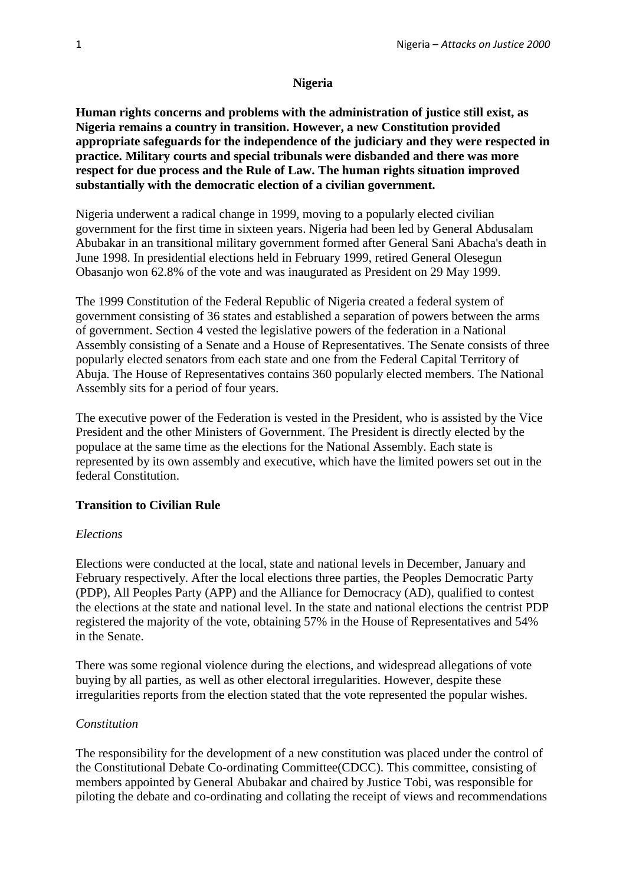### **Nigeria**

**Human rights concerns and problems with the administration of justice still exist, as Nigeria remains a country in transition. However, a new Constitution provided appropriate safeguards for the independence of the judiciary and they were respected in practice. Military courts and special tribunals were disbanded and there was more respect for due process and the Rule of Law. The human rights situation improved substantially with the democratic election of a civilian government.**

Nigeria underwent a radical change in 1999, moving to a popularly elected civilian government for the first time in sixteen years. Nigeria had been led by General Abdusalam Abubakar in an transitional military government formed after General Sani Abacha's death in June 1998. In presidential elections held in February 1999, retired General Olesegun Obasanjo won 62.8% of the vote and was inaugurated as President on 29 May 1999.

The 1999 Constitution of the Federal Republic of Nigeria created a federal system of government consisting of 36 states and established a separation of powers between the arms of government. Section 4 vested the legislative powers of the federation in a National Assembly consisting of a Senate and a House of Representatives. The Senate consists of three popularly elected senators from each state and one from the Federal Capital Territory of Abuja. The House of Representatives contains 360 popularly elected members. The National Assembly sits for a period of four years.

The executive power of the Federation is vested in the President, who is assisted by the Vice President and the other Ministers of Government. The President is directly elected by the populace at the same time as the elections for the National Assembly. Each state is represented by its own assembly and executive, which have the limited powers set out in the federal Constitution.

## **Transition to Civilian Rule**

#### *Elections*

Elections were conducted at the local, state and national levels in December, January and February respectively. After the local elections three parties, the Peoples Democratic Party (PDP), All Peoples Party (APP) and the Alliance for Democracy (AD), qualified to contest the elections at the state and national level. In the state and national elections the centrist PDP registered the majority of the vote, obtaining 57% in the House of Representatives and 54% in the Senate.

There was some regional violence during the elections, and widespread allegations of vote buying by all parties, as well as other electoral irregularities. However, despite these irregularities reports from the election stated that the vote represented the popular wishes.

#### *Constitution*

The responsibility for the development of a new constitution was placed under the control of the Constitutional Debate Co-ordinating Committee(CDCC). This committee, consisting of members appointed by General Abubakar and chaired by Justice Tobi, was responsible for piloting the debate and co-ordinating and collating the receipt of views and recommendations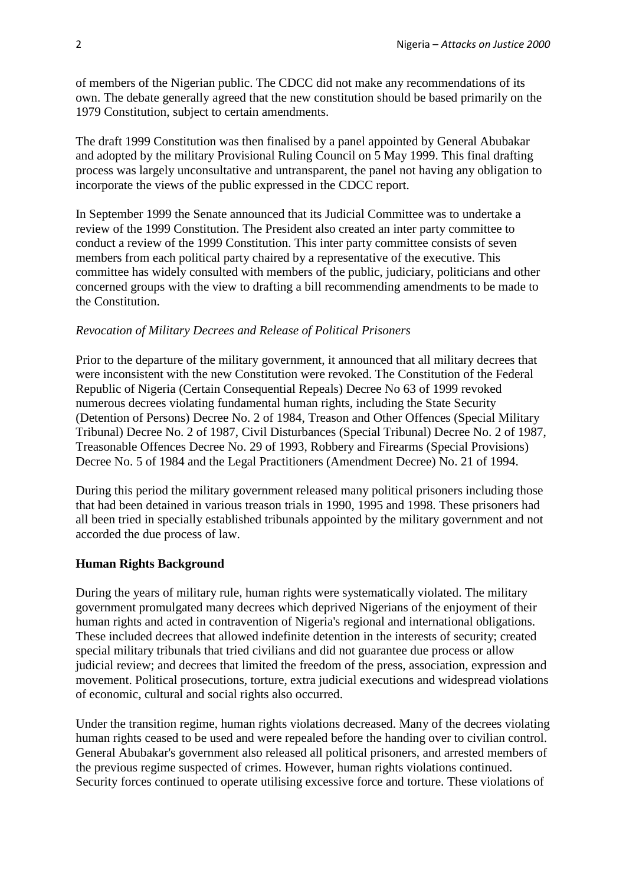of members of the Nigerian public. The CDCC did not make any recommendations of its own. The debate generally agreed that the new constitution should be based primarily on the 1979 Constitution, subject to certain amendments.

The draft 1999 Constitution was then finalised by a panel appointed by General Abubakar and adopted by the military Provisional Ruling Council on 5 May 1999. This final drafting process was largely unconsultative and untransparent, the panel not having any obligation to incorporate the views of the public expressed in the CDCC report.

In September 1999 the Senate announced that its Judicial Committee was to undertake a review of the 1999 Constitution. The President also created an inter party committee to conduct a review of the 1999 Constitution. This inter party committee consists of seven members from each political party chaired by a representative of the executive. This committee has widely consulted with members of the public, judiciary, politicians and other concerned groups with the view to drafting a bill recommending amendments to be made to the Constitution.

#### *Revocation of Military Decrees and Release of Political Prisoners*

Prior to the departure of the military government, it announced that all military decrees that were inconsistent with the new Constitution were revoked. The Constitution of the Federal Republic of Nigeria (Certain Consequential Repeals) Decree No 63 of 1999 revoked numerous decrees violating fundamental human rights, including the State Security (Detention of Persons) Decree No. 2 of 1984, Treason and Other Offences (Special Military Tribunal) Decree No. 2 of 1987, Civil Disturbances (Special Tribunal) Decree No. 2 of 1987, Treasonable Offences Decree No. 29 of 1993, Robbery and Firearms (Special Provisions) Decree No. 5 of 1984 and the Legal Practitioners (Amendment Decree) No. 21 of 1994.

During this period the military government released many political prisoners including those that had been detained in various treason trials in 1990, 1995 and 1998. These prisoners had all been tried in specially established tribunals appointed by the military government and not accorded the due process of law.

#### **Human Rights Background**

During the years of military rule, human rights were systematically violated. The military government promulgated many decrees which deprived Nigerians of the enjoyment of their human rights and acted in contravention of Nigeria's regional and international obligations. These included decrees that allowed indefinite detention in the interests of security; created special military tribunals that tried civilians and did not guarantee due process or allow judicial review; and decrees that limited the freedom of the press, association, expression and movement. Political prosecutions, torture, extra judicial executions and widespread violations of economic, cultural and social rights also occurred.

Under the transition regime, human rights violations decreased. Many of the decrees violating human rights ceased to be used and were repealed before the handing over to civilian control. General Abubakar's government also released all political prisoners, and arrested members of the previous regime suspected of crimes. However, human rights violations continued. Security forces continued to operate utilising excessive force and torture. These violations of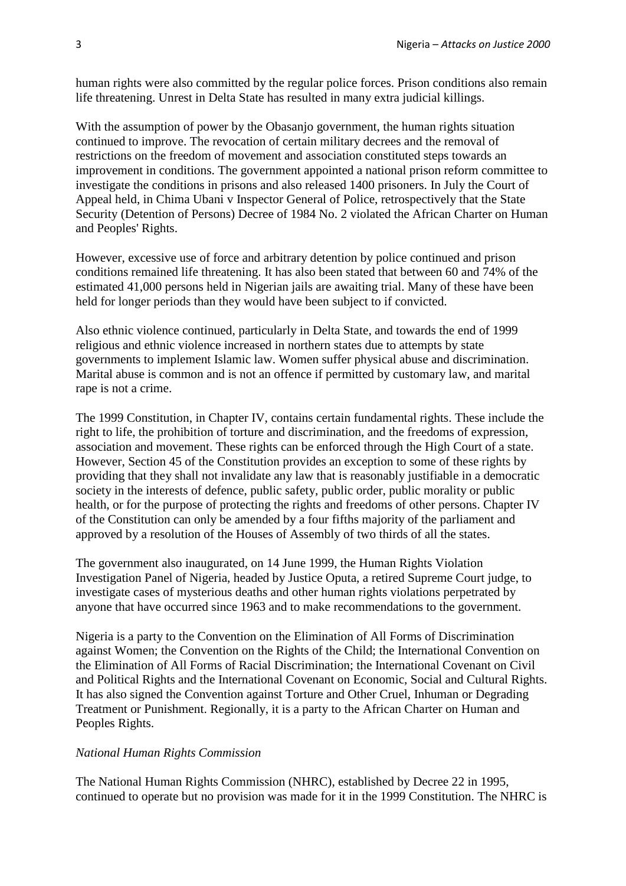human rights were also committed by the regular police forces. Prison conditions also remain life threatening. Unrest in Delta State has resulted in many extra judicial killings.

With the assumption of power by the Obasanjo government, the human rights situation continued to improve. The revocation of certain military decrees and the removal of restrictions on the freedom of movement and association constituted steps towards an improvement in conditions. The government appointed a national prison reform committee to investigate the conditions in prisons and also released 1400 prisoners. In July the Court of Appeal held, in Chima Ubani v Inspector General of Police, retrospectively that the State Security (Detention of Persons) Decree of 1984 No. 2 violated the African Charter on Human and Peoples' Rights.

However, excessive use of force and arbitrary detention by police continued and prison conditions remained life threatening. It has also been stated that between 60 and 74% of the estimated 41,000 persons held in Nigerian jails are awaiting trial. Many of these have been held for longer periods than they would have been subject to if convicted.

Also ethnic violence continued, particularly in Delta State, and towards the end of 1999 religious and ethnic violence increased in northern states due to attempts by state governments to implement Islamic law. Women suffer physical abuse and discrimination. Marital abuse is common and is not an offence if permitted by customary law, and marital rape is not a crime.

The 1999 Constitution, in Chapter IV, contains certain fundamental rights. These include the right to life, the prohibition of torture and discrimination, and the freedoms of expression, association and movement. These rights can be enforced through the High Court of a state. However, Section 45 of the Constitution provides an exception to some of these rights by providing that they shall not invalidate any law that is reasonably justifiable in a democratic society in the interests of defence, public safety, public order, public morality or public health, or for the purpose of protecting the rights and freedoms of other persons. Chapter IV of the Constitution can only be amended by a four fifths majority of the parliament and approved by a resolution of the Houses of Assembly of two thirds of all the states.

The government also inaugurated, on 14 June 1999, the Human Rights Violation Investigation Panel of Nigeria, headed by Justice Oputa, a retired Supreme Court judge, to investigate cases of mysterious deaths and other human rights violations perpetrated by anyone that have occurred since 1963 and to make recommendations to the government.

Nigeria is a party to the Convention on the Elimination of All Forms of Discrimination against Women; the Convention on the Rights of the Child; the International Convention on the Elimination of All Forms of Racial Discrimination; the International Covenant on Civil and Political Rights and the International Covenant on Economic, Social and Cultural Rights. It has also signed the Convention against Torture and Other Cruel, Inhuman or Degrading Treatment or Punishment. Regionally, it is a party to the African Charter on Human and Peoples Rights.

#### *National Human Rights Commission*

The National Human Rights Commission (NHRC), established by Decree 22 in 1995, continued to operate but no provision was made for it in the 1999 Constitution. The NHRC is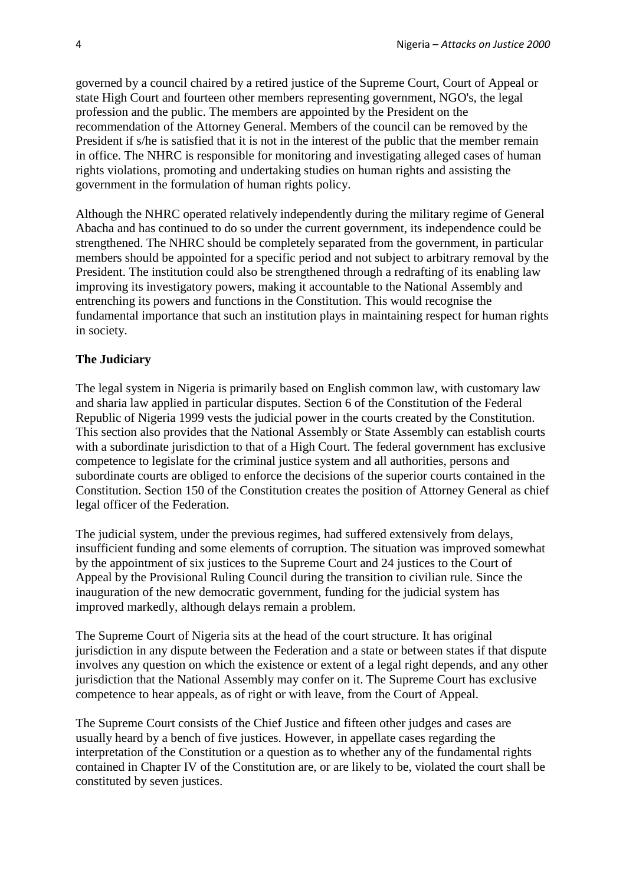governed by a council chaired by a retired justice of the Supreme Court, Court of Appeal or state High Court and fourteen other members representing government, NGO's, the legal profession and the public. The members are appointed by the President on the recommendation of the Attorney General. Members of the council can be removed by the President if s/he is satisfied that it is not in the interest of the public that the member remain in office. The NHRC is responsible for monitoring and investigating alleged cases of human rights violations, promoting and undertaking studies on human rights and assisting the government in the formulation of human rights policy.

Although the NHRC operated relatively independently during the military regime of General Abacha and has continued to do so under the current government, its independence could be strengthened. The NHRC should be completely separated from the government, in particular members should be appointed for a specific period and not subject to arbitrary removal by the President. The institution could also be strengthened through a redrafting of its enabling law improving its investigatory powers, making it accountable to the National Assembly and entrenching its powers and functions in the Constitution. This would recognise the fundamental importance that such an institution plays in maintaining respect for human rights in society.

#### **The Judiciary**

The legal system in Nigeria is primarily based on English common law, with customary law and sharia law applied in particular disputes. Section 6 of the Constitution of the Federal Republic of Nigeria 1999 vests the judicial power in the courts created by the Constitution. This section also provides that the National Assembly or State Assembly can establish courts with a subordinate jurisdiction to that of a High Court. The federal government has exclusive competence to legislate for the criminal justice system and all authorities, persons and subordinate courts are obliged to enforce the decisions of the superior courts contained in the Constitution. Section 150 of the Constitution creates the position of Attorney General as chief legal officer of the Federation.

The judicial system, under the previous regimes, had suffered extensively from delays, insufficient funding and some elements of corruption. The situation was improved somewhat by the appointment of six justices to the Supreme Court and 24 justices to the Court of Appeal by the Provisional Ruling Council during the transition to civilian rule. Since the inauguration of the new democratic government, funding for the judicial system has improved markedly, although delays remain a problem.

The Supreme Court of Nigeria sits at the head of the court structure. It has original jurisdiction in any dispute between the Federation and a state or between states if that dispute involves any question on which the existence or extent of a legal right depends, and any other jurisdiction that the National Assembly may confer on it. The Supreme Court has exclusive competence to hear appeals, as of right or with leave, from the Court of Appeal.

The Supreme Court consists of the Chief Justice and fifteen other judges and cases are usually heard by a bench of five justices. However, in appellate cases regarding the interpretation of the Constitution or a question as to whether any of the fundamental rights contained in Chapter IV of the Constitution are, or are likely to be, violated the court shall be constituted by seven justices.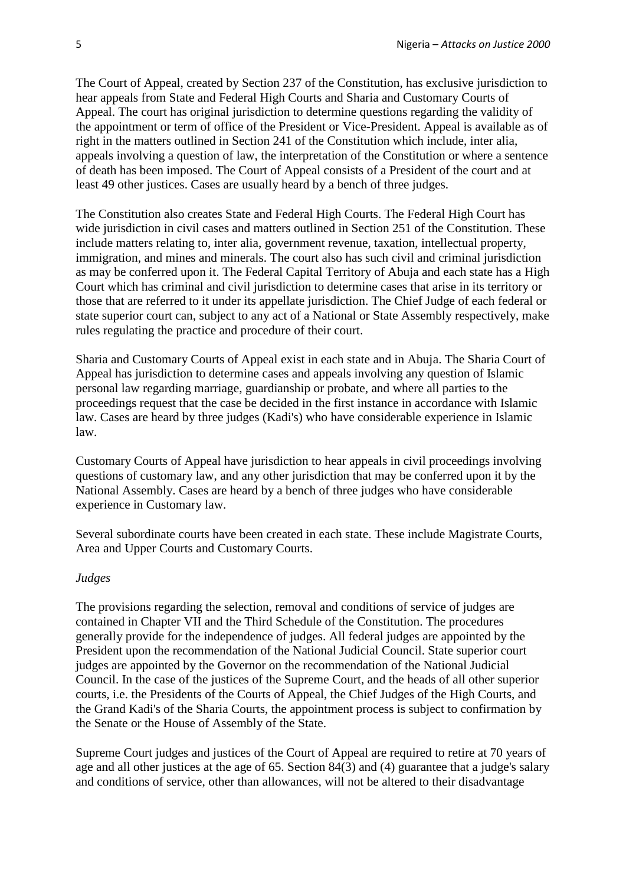The Court of Appeal, created by Section 237 of the Constitution, has exclusive jurisdiction to hear appeals from State and Federal High Courts and Sharia and Customary Courts of Appeal. The court has original jurisdiction to determine questions regarding the validity of the appointment or term of office of the President or Vice-President. Appeal is available as of right in the matters outlined in Section 241 of the Constitution which include, inter alia, appeals involving a question of law, the interpretation of the Constitution or where a sentence of death has been imposed. The Court of Appeal consists of a President of the court and at least 49 other justices. Cases are usually heard by a bench of three judges.

The Constitution also creates State and Federal High Courts. The Federal High Court has wide jurisdiction in civil cases and matters outlined in Section 251 of the Constitution. These include matters relating to, inter alia, government revenue, taxation, intellectual property, immigration, and mines and minerals. The court also has such civil and criminal jurisdiction as may be conferred upon it. The Federal Capital Territory of Abuja and each state has a High Court which has criminal and civil jurisdiction to determine cases that arise in its territory or those that are referred to it under its appellate jurisdiction. The Chief Judge of each federal or state superior court can, subject to any act of a National or State Assembly respectively, make rules regulating the practice and procedure of their court.

Sharia and Customary Courts of Appeal exist in each state and in Abuja. The Sharia Court of Appeal has jurisdiction to determine cases and appeals involving any question of Islamic personal law regarding marriage, guardianship or probate, and where all parties to the proceedings request that the case be decided in the first instance in accordance with Islamic law. Cases are heard by three judges (Kadi's) who have considerable experience in Islamic law.

Customary Courts of Appeal have jurisdiction to hear appeals in civil proceedings involving questions of customary law, and any other jurisdiction that may be conferred upon it by the National Assembly. Cases are heard by a bench of three judges who have considerable experience in Customary law.

Several subordinate courts have been created in each state. These include Magistrate Courts, Area and Upper Courts and Customary Courts.

#### *Judges*

The provisions regarding the selection, removal and conditions of service of judges are contained in Chapter VII and the Third Schedule of the Constitution. The procedures generally provide for the independence of judges. All federal judges are appointed by the President upon the recommendation of the National Judicial Council. State superior court judges are appointed by the Governor on the recommendation of the National Judicial Council. In the case of the justices of the Supreme Court, and the heads of all other superior courts, i.e. the Presidents of the Courts of Appeal, the Chief Judges of the High Courts, and the Grand Kadi's of the Sharia Courts, the appointment process is subject to confirmation by the Senate or the House of Assembly of the State.

Supreme Court judges and justices of the Court of Appeal are required to retire at 70 years of age and all other justices at the age of 65. Section 84(3) and (4) guarantee that a judge's salary and conditions of service, other than allowances, will not be altered to their disadvantage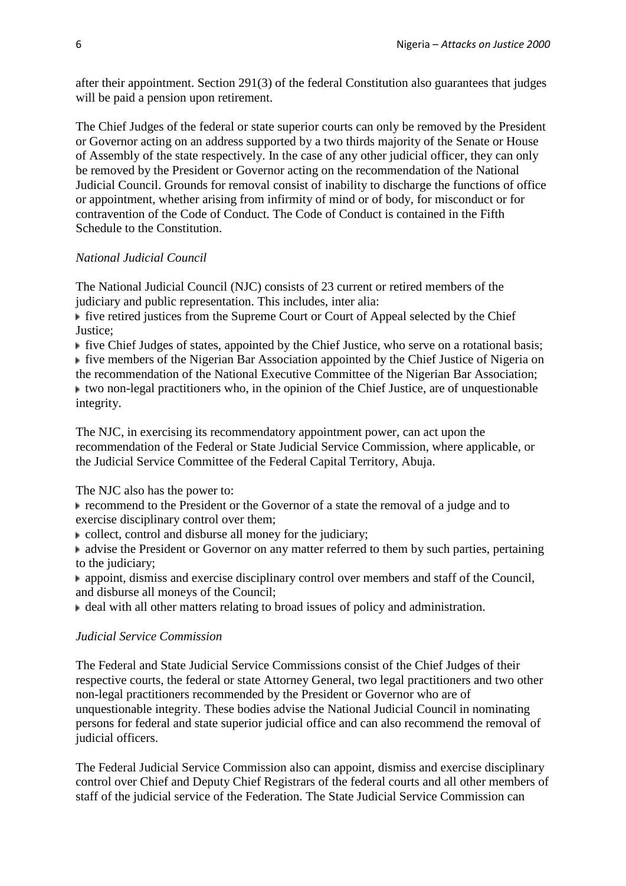after their appointment. Section 291(3) of the federal Constitution also guarantees that judges will be paid a pension upon retirement.

The Chief Judges of the federal or state superior courts can only be removed by the President or Governor acting on an address supported by a two thirds majority of the Senate or House of Assembly of the state respectively. In the case of any other judicial officer, they can only be removed by the President or Governor acting on the recommendation of the National Judicial Council. Grounds for removal consist of inability to discharge the functions of office or appointment, whether arising from infirmity of mind or of body, for misconduct or for contravention of the Code of Conduct. The Code of Conduct is contained in the Fifth Schedule to the Constitution.

# *National Judicial Council*

The National Judicial Council (NJC) consists of 23 current or retired members of the judiciary and public representation. This includes, inter alia:

five retired justices from the Supreme Court or Court of Appeal selected by the Chief Justice;

 $\blacktriangleright$  five Chief Judges of states, appointed by the Chief Justice, who serve on a rotational basis;

five members of the Nigerian Bar Association appointed by the Chief Justice of Nigeria on the recommendation of the National Executive Committee of the Nigerian Bar Association;  $\blacktriangleright$  two non-legal practitioners who, in the opinion of the Chief Justice, are of unquestionable integrity.

The NJC, in exercising its recommendatory appointment power, can act upon the recommendation of the Federal or State Judicial Service Commission, where applicable, or the Judicial Service Committee of the Federal Capital Territory, Abuja.

The NJC also has the power to:

recommend to the President or the Governor of a state the removal of a judge and to exercise disciplinary control over them;

collect, control and disburse all money for the judiciary;

• advise the President or Governor on any matter referred to them by such parties, pertaining to the judiciary:

appoint, dismiss and exercise disciplinary control over members and staff of the Council, and disburse all moneys of the Council;

deal with all other matters relating to broad issues of policy and administration.

## *Judicial Service Commission*

The Federal and State Judicial Service Commissions consist of the Chief Judges of their respective courts, the federal or state Attorney General, two legal practitioners and two other non-legal practitioners recommended by the President or Governor who are of unquestionable integrity. These bodies advise the National Judicial Council in nominating persons for federal and state superior judicial office and can also recommend the removal of judicial officers.

The Federal Judicial Service Commission also can appoint, dismiss and exercise disciplinary control over Chief and Deputy Chief Registrars of the federal courts and all other members of staff of the judicial service of the Federation. The State Judicial Service Commission can